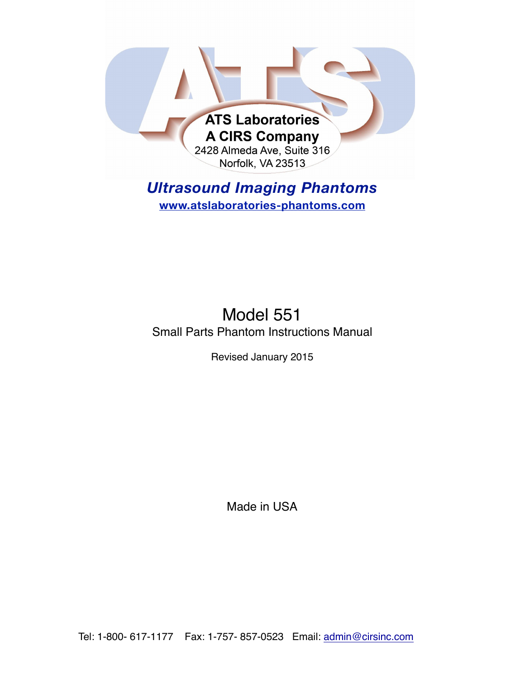

# *Ultrasound Imaging Phantoms*  **www.atslaboratories-phantoms.com**

Model 551 Small Parts Phantom Instructions Manual

Revised January 2015

Made in USA

Tel: 1-800- 617-1177 Fax: 1-757- 857-0523 Email: admin@cirsinc.com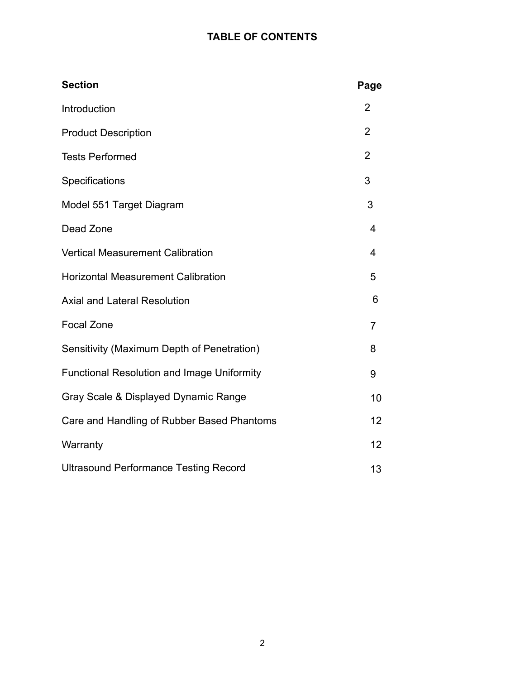# **TABLE OF CONTENTS**

| <b>Section</b>                                    | Page           |
|---------------------------------------------------|----------------|
| Introduction                                      | $\overline{2}$ |
| <b>Product Description</b>                        | $\overline{2}$ |
| <b>Tests Performed</b>                            | 2              |
| Specifications                                    | 3              |
| Model 551 Target Diagram                          | 3              |
| Dead Zone                                         | 4              |
| <b>Vertical Measurement Calibration</b>           | 4              |
| <b>Horizontal Measurement Calibration</b>         | 5              |
| <b>Axial and Lateral Resolution</b>               | 6              |
| <b>Focal Zone</b>                                 | $\overline{7}$ |
| Sensitivity (Maximum Depth of Penetration)        | 8              |
| <b>Functional Resolution and Image Uniformity</b> | 9              |
| Gray Scale & Displayed Dynamic Range              | 10             |
| Care and Handling of Rubber Based Phantoms        | 12             |
| Warranty                                          | 12             |
| <b>Ultrasound Performance Testing Record</b>      | 13             |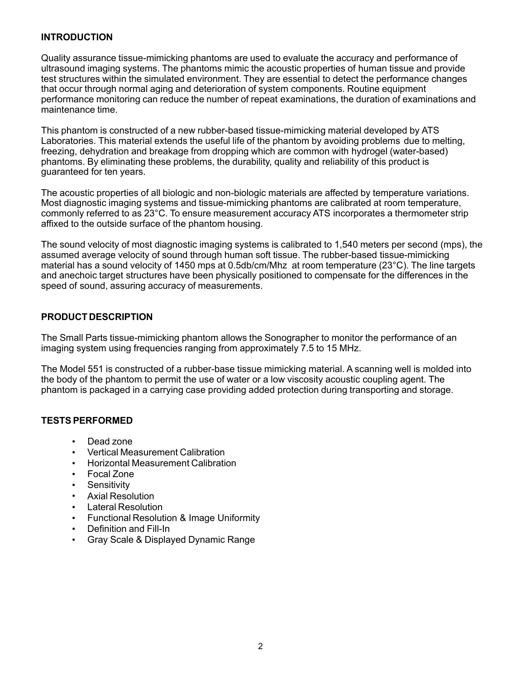#### **INTRODUCTION**

Quality assurance tissue-mimicking phantoms are used to evaluate the accuracy and performance of ultrasound imaging systems. The phantoms mimic the acoustic properties of human tissue and provide test structures within the simulated environment. They are essential to detect the performance changes that occur through normal aging and deterioration of system components. Routine equipment performance monitoring can reduce the number of repeat examinations, the duration of examinations and maintenance time.

This phantom is constructed of a new rubber-based tissue-mimicking material developed by ATS Laboratories. This material extends the useful life of the phantom by avoiding problems due to melting, freezing, dehydration and breakage from dropping which are common with hydrogel (water-based) phantoms. By eliminating these problems, the durability, quality and reliability of this product is guaranteed for ten years.

The acoustic properties of all biologic and non-biologic materials are affected by temperature variations. Most diagnostic imaging systems and tissue-mimicking phantoms are calibrated at room temperature, commonly referred to as 23°C. To ensure measurement accuracy ATS incorporates a thermometer strip affixed to the outside surface of the phantom housing.

The sound velocity of most diagnostic imaging systems is calibrated to 1,540 meters per second (mps), the assumed average velocity of sound through human soft tissue. The rubber-based tissue-mimicking material has a sound velocity of 1450 mps at 0.5db/cm/Mhz at room temperature (23°C). The line targets and anechoic target structures have been physically positioned to compensate for the differences in the speed of sound, assuring accuracy of measurements.

#### **PRODUCT DESCRIPTION**

The Small Parts tissue-mimicking phantom allows the Sonographer to monitor the performance of an imaging system using frequencies ranging from approximately 7.5 to 15 MHz.

The Model 551 is constructed of a rubber-base tissue mimicking material. A scanning well is molded into the body of the phantom to permit the use of water or a low viscosity acoustic coupling agent. The phantom is packaged in a carrying case providing added protection during transporting and storage.

#### **TESTS PERFORMED**

- Dead zone
- Vertical Measurement Calibration
- Horizontal Measurement Calibration
- Focal Zone
- **Sensitivity**
- Axial Resolution
- Lateral Resolution
- Functional Resolution & Image Uniformity
- Definition and Fill-In
- Gray Scale & Displayed Dynamic Range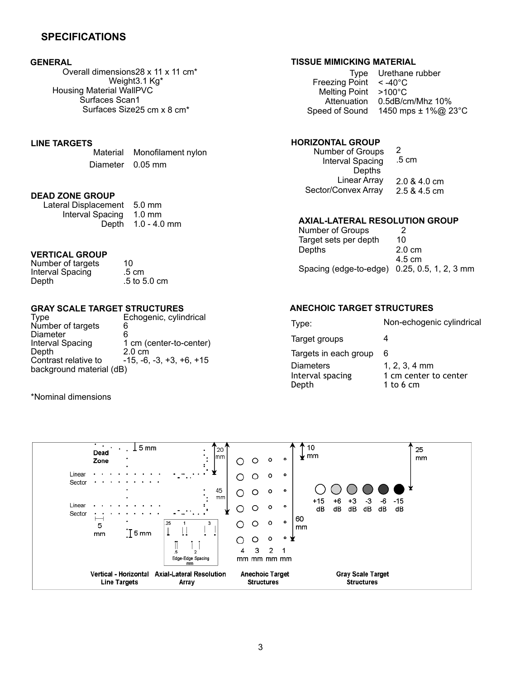#### **SPECIFICATIONS**

#### **GENERAL**

Overall dimensions 28 x 11 x 11 cm\* Weight3.1 Kg\* Housing Material WallPVC Surfaces Scan1 Surfaces Size 25 cm x 8 cm\*

# **LINE TARGETS**

Monofilament nylon Diameter 0.05 mm

#### **DEAD ZONE GROUP**

Lateral Displacement 5.0 mm Interval Spacing 1.0 mm Depth 1.0 - 4.0 mm

#### **VERTICAL GROUP**

Number of targets 10<br>Interval Spacing 5 cm Interval Spacing Depth .5 to 5.0 cm

# **GRAY SCALE TARGET STRUCTURES**

Echogenic, cylindrical Number of targets 6<br>Diameter 6 Diameter<br>Interval Spacing Interval Spacing 1 cm (center-to-center)<br>Depth 2.0 cm Depth 2.0 cm<br>Contrast relative to 415, -6.  $-15, -6, -3, +3, +6, +15$ background material (dB)

\*Nominal dimensions

#### **TISSUE MIMICKING MATERIAL**

| Type Urethane rubber                |
|-------------------------------------|
| Freezing Point $\leq -40^{\circ}$ C |
| Melting Point >100°C                |
| $0.5$ dB/cm/Mhz $10\%$              |
| 1450 mps $\pm$ 1%@ 23°C             |
|                                     |

#### **HORIZONTAL GROUP**

| Number of Groups<br>Interval Spacing<br>Depths | 2<br>.5 cm     |
|------------------------------------------------|----------------|
| Linear Array                                   | $2.0 & 4.0$ cm |
| Sector/Convex Array                            | 2.5 & 4.5 cm   |

#### **AXIAL-LATERAL RESOLUTION GROUP**

| Number of Groups       | 2                       |
|------------------------|-------------------------|
| Target sets per depth  | 10                      |
| Depths                 | $2.0 \text{ cm}$        |
|                        | 4.5 cm                  |
| Spacing (edge-to-edge) | $0.25, 0.5, 1, 2, 3$ mm |

#### **ANECHOIC TARGET STRUCTURES**

| Type:                 | Non-echogenic cylindrical |
|-----------------------|---------------------------|
| Target groups         | Δ                         |
| Targets in each group | 6                         |
| <b>Diameters</b>      | $1, 2, 3, 4$ mm           |
| Interval spacing      | 1 cm center to center     |
| Depth                 | 1 to 6 cm                 |

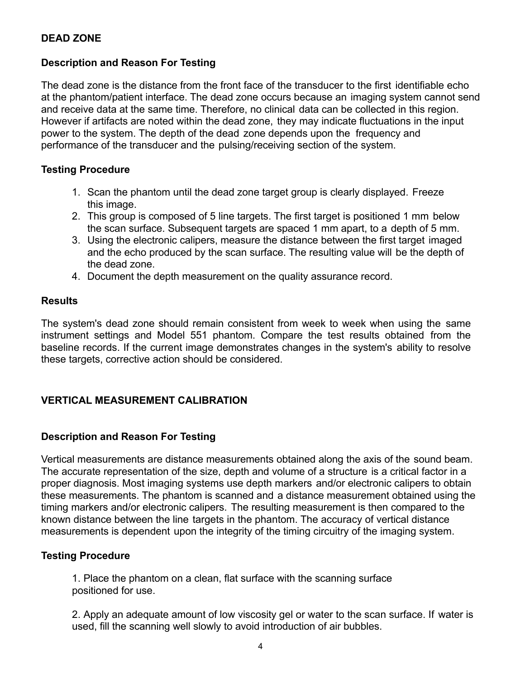#### **Description and Reason For Testing**

The dead zone is the distance from the front face of the transducer to the first identifiable echo at the phantom/patient interface. The dead zone occurs because an imaging system cannot send and receive data at the same time. Therefore, no clinical data can be collected in this region. However if artifacts are noted within the dead zone, they may indicate fluctuations in the input power to the system. The depth of the dead zone depends upon the frequency and performance of the transducer and the pulsing/receiving section of the system.

#### **Testing Procedure**

- 1. Scan the phantom until the dead zone target group is clearly displayed. Freeze this image.
- 2. This group is composed of 5 line targets. The first target is positioned 1 mm below the scan surface. Subsequent targets are spaced 1 mm apart, to a depth of 5 mm.
- 3. Using the electronic calipers, measure the distance between the first target imaged and the echo produced by the scan surface. The resulting value will be the depth of the dead zone.
- 4. Document the depth measurement on the quality assurance record.

#### **Results**

The system's dead zone should remain consistent from week to week when using the same instrument settings and Model 551 phantom. Compare the test results obtained from the baseline records. If the current image demonstrates changes in the system's ability to resolve these targets, corrective action should be considered.

## **VERTICAL MEASUREMENT CALIBRATION**

## **Description and Reason For Testing**

Vertical measurements are distance measurements obtained along the axis of the sound beam. The accurate representation of the size, depth and volume of a structure is a critical factor in a proper diagnosis. Most imaging systems use depth markers and/or electronic calipers to obtain these measurements. The phantom is scanned and a distance measurement obtained using the timing markers and/or electronic calipers. The resulting measurement is then compared to the known distance between the line targets in the phantom. The accuracy of vertical distance measurements is dependent upon the integrity of the timing circuitry of the imaging system.

#### **Testing Procedure**

1. Place the phantom on a clean, flat surface with the scanning surface positioned for use.

2. Apply an adequate amount of low viscosity gel or water to the scan surface. If water is used, fill the scanning well slowly to avoid introduction of air bubbles.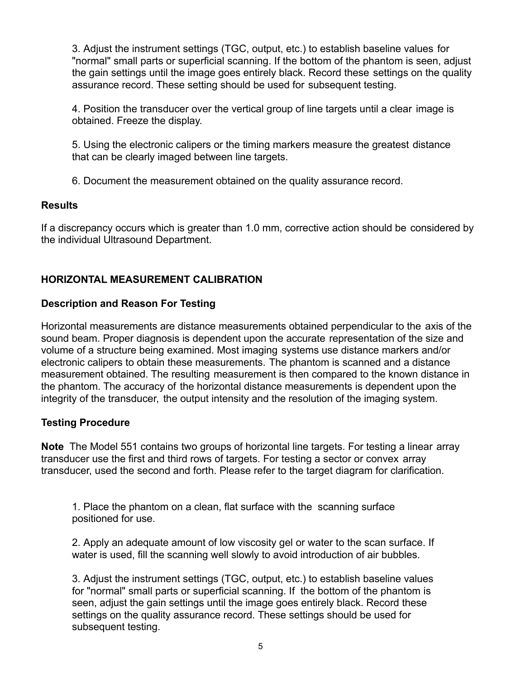3. Adjust the instrument settings (TGC, output, etc.) to establish baseline values for "normal" small parts or superficial scanning. If the bottom of the phantom is seen, adjust the gain settings until the image goes entirely black. Record these settings on the quality assurance record. These setting should be used for subsequent testing.

4. Position the transducer over the vertical group of line targets until a clear image is obtained. Freeze the display.

5. Using the electronic calipers or the timing markers measure the greatest distance that can be clearly imaged between line targets.

6. Document the measurement obtained on the quality assurance record.

# **Results**

If a discrepancy occurs which is greater than 1.0 mm, corrective action should be considered by the individual Ultrasound Department.

# **HORIZONTAL MEASUREMENT CALIBRATION**

## **Description and Reason For Testing**

Horizontal measurements are distance measurements obtained perpendicular to the axis of the sound beam. Proper diagnosis is dependent upon the accurate representation of the size and volume of a structure being examined. Most imaging systems use distance markers and/or electronic calipers to obtain these measurements. The phantom is scanned and a distance measurement obtained. The resulting measurement is then compared to the known distance in the phantom. The accuracy of the horizontal distance measurements is dependent upon the integrity of the transducer, the output intensity and the resolution of the imaging system.

## **Testing Procedure**

**Note** The Model 551 contains two groups of horizontal line targets. For testing a linear array transducer use the first and third rows of targets. For testing a sector or convex array transducer, used the second and forth. Please refer to the target diagram for clarification.

1. Place the phantom on a clean, flat surface with the scanning surface positioned for use.

2. Apply an adequate amount of low viscosity gel or water to the scan surface. If water is used, fill the scanning well slowly to avoid introduction of air bubbles.

3. Adjust the instrument settings (TGC, output, etc.) to establish baseline values for "normal" small parts or superficial scanning. If the bottom of the phantom is seen, adjust the gain settings until the image goes entirely black. Record these settings on the quality assurance record. These settings should be used for subsequent testing.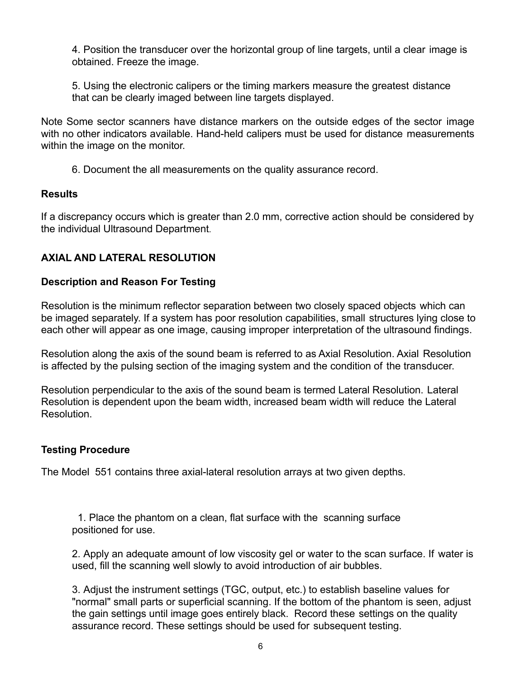4. Position the transducer over the horizontal group of line targets, until a clear image is obtained. Freeze the image.

5. Using the electronic calipers or the timing markers measure the greatest distance that can be clearly imaged between line targets displayed.

Note Some sector scanners have distance markers on the outside edges of the sector image with no other indicators available. Hand-held calipers must be used for distance measurements within the image on the monitor.

6. Document the all measurements on the quality assurance record.

#### **Results**

If a discrepancy occurs which is greater than 2.0 mm, corrective action should be considered by the individual Ultrasound Department.

## **AXIAL AND LATERAL RESOLUTION**

#### **Description and Reason For Testing**

Resolution is the minimum reflector separation between two closely spaced objects which can be imaged separately. If a system has poor resolution capabilities, small structures lying close to each other will appear as one image, causing improper interpretation of the ultrasound findings.

Resolution along the axis of the sound beam is referred to as Axial Resolution. Axial Resolution is affected by the pulsing section of the imaging system and the condition of the transducer.

Resolution perpendicular to the axis of the sound beam is termed Lateral Resolution. Lateral Resolution is dependent upon the beam width, increased beam width will reduce the Lateral Resolution.

#### **Testing Procedure**

The Model 551 contains three axial-lateral resolution arrays at two given depths.

1. Place the phantom on a clean, flat surface with the scanning surface positioned for use.

2. Apply an adequate amount of low viscosity gel or water to the scan surface. If water is used, fill the scanning well slowly to avoid introduction of air bubbles.

3. Adjust the instrument settings (TGC, output, etc.) to establish baseline values for "normal" small parts or superficial scanning. If the bottom of the phantom is seen, adjust the gain settings until image goes entirely black. Record these settings on the quality assurance record. These settings should be used for subsequent testing.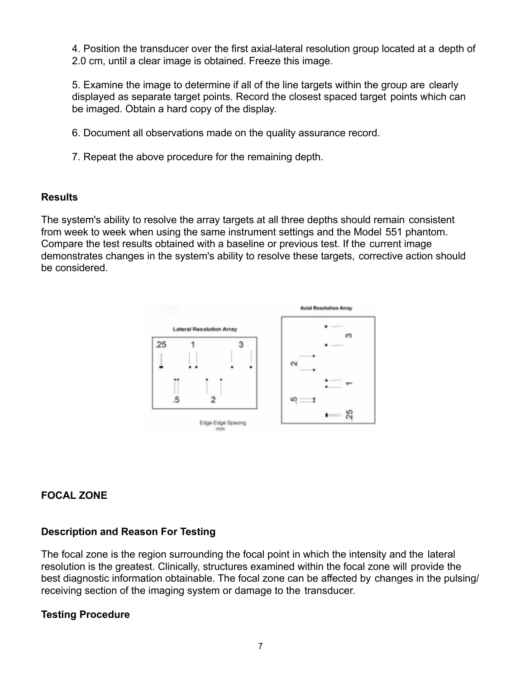4. Position the transducer over the first axial-lateral resolution group located at a depth of 2.0 cm, until a clear image is obtained. Freeze this image.

5. Examine the image to determine if all of the line targets within the group are clearly displayed as separate target points. Record the closest spaced target points which can be imaged. Obtain a hard copy of the display.

- 6. Document all observations made on the quality assurance record.
- 7. Repeat the above procedure for the remaining depth.

#### **Results**

The system's ability to resolve the array targets at all three depths should remain consistent from week to week when using the same instrument settings and the Model 551 phantom. Compare the test results obtained with a baseline or previous test. If the current image demonstrates changes in the system's ability to resolve these targets, corrective action should be considered.



# **FOCAL ZONE**

## **Description and Reason For Testing**

The focal zone is the region surrounding the focal point in which the intensity and the lateral resolution is the greatest. Clinically, structures examined within the focal zone will provide the best diagnostic information obtainable. The focal zone can be affected by changes in the pulsing/ receiving section of the imaging system or damage to the transducer.

## **Testing Procedure**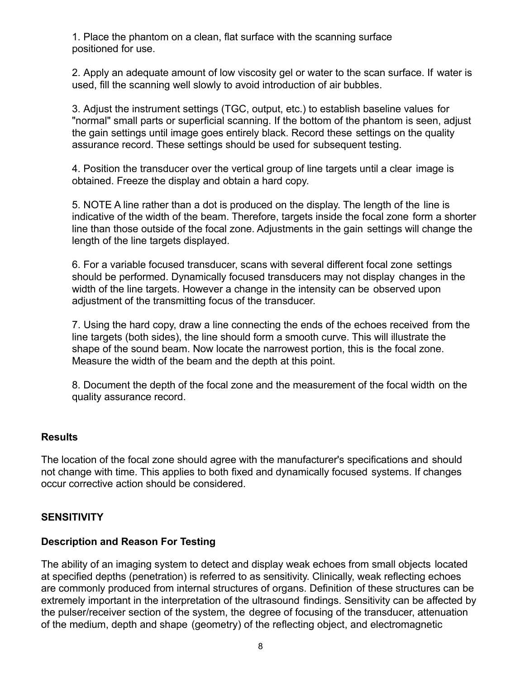1. Place the phantom on a clean, flat surface with the scanning surface positioned for use.

2. Apply an adequate amount of low viscosity gel or water to the scan surface. If water is used, fill the scanning well slowly to avoid introduction of air bubbles.

3. Adjust the instrument settings (TGC, output, etc.) to establish baseline values for "normal" small parts or superficial scanning. If the bottom of the phantom is seen, adjust the gain settings until image goes entirely black. Record these settings on the quality assurance record. These settings should be used for subsequent testing.

4. Position the transducer over the vertical group of line targets until a clear image is obtained. Freeze the display and obtain a hard copy.

5. NOTE A line rather than a dot is produced on the display. The length of the line is indicative of the width of the beam. Therefore, targets inside the focal zone form a shorter line than those outside of the focal zone. Adjustments in the gain settings will change the length of the line targets displayed.

6. For a variable focused transducer, scans with several different focal zone settings should be performed. Dynamically focused transducers may not display changes in the width of the line targets. However a change in the intensity can be observed upon adjustment of the transmitting focus of the transducer.

7. Using the hard copy, draw a line connecting the ends of the echoes received from the line targets (both sides), the line should form a smooth curve. This will illustrate the shape of the sound beam. Now locate the narrowest portion, this is the focal zone. Measure the width of the beam and the depth at this point.

8. Document the depth of the focal zone and the measurement of the focal width on the quality assurance record.

## **Results**

The location of the focal zone should agree with the manufacturer's specifications and should not change with time. This applies to both fixed and dynamically focused systems. If changes occur corrective action should be considered.

## **SENSITIVITY**

## **Description and Reason For Testing**

The ability of an imaging system to detect and display weak echoes from small objects located at specified depths (penetration) is referred to as sensitivity. Clinically, weak reflecting echoes are commonly produced from internal structures of organs. Definition of these structures can be extremely important in the interpretation of the ultrasound findings. Sensitivity can be affected by the pulser/receiver section of the system, the degree of focusing of the transducer, attenuation of the medium, depth and shape (geometry) of the reflecting object, and electromagnetic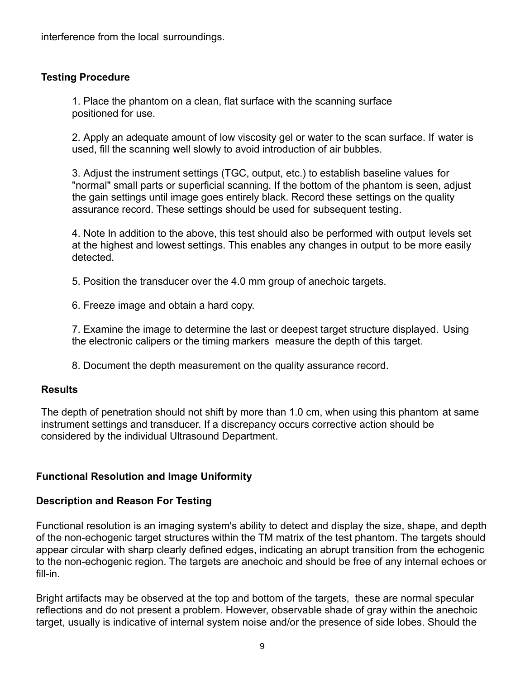interference from the local surroundings.

## **Testing Procedure**

1. Place the phantom on a clean, flat surface with the scanning surface positioned for use.

2. Apply an adequate amount of low viscosity gel or water to the scan surface. If water is used, fill the scanning well slowly to avoid introduction of air bubbles.

3. Adjust the instrument settings (TGC, output, etc.) to establish baseline values for "normal" small parts or superficial scanning. If the bottom of the phantom is seen, adjust the gain settings until image goes entirely black. Record these settings on the quality assurance record. These settings should be used for subsequent testing.

4. Note In addition to the above, this test should also be performed with output levels set at the highest and lowest settings. This enables any changes in output to be more easily detected.

5. Position the transducer over the 4.0 mm group of anechoic targets.

6. Freeze image and obtain a hard copy.

7. Examine the image to determine the last or deepest target structure displayed. Using the electronic calipers or the timing markers measure the depth of this target.

8. Document the depth measurement on the quality assurance record.

## **Results**

The depth of penetration should not shift by more than 1.0 cm, when using this phantom at same instrument settings and transducer. If a discrepancy occurs corrective action should be considered by the individual Ultrasound Department.

## **Functional Resolution and Image Uniformity**

## **Description and Reason For Testing**

Functional resolution is an imaging system's ability to detect and display the size, shape, and depth of the non-echogenic target structures within the TM matrix of the test phantom. The targets should appear circular with sharp clearly defined edges, indicating an abrupt transition from the echogenic to the non-echogenic region. The targets are anechoic and should be free of any internal echoes or fill-in.

Bright artifacts may be observed at the top and bottom of the targets, these are normal specular reflections and do not present a problem. However, observable shade of gray within the anechoic target, usually is indicative of internal system noise and/or the presence of side lobes. Should the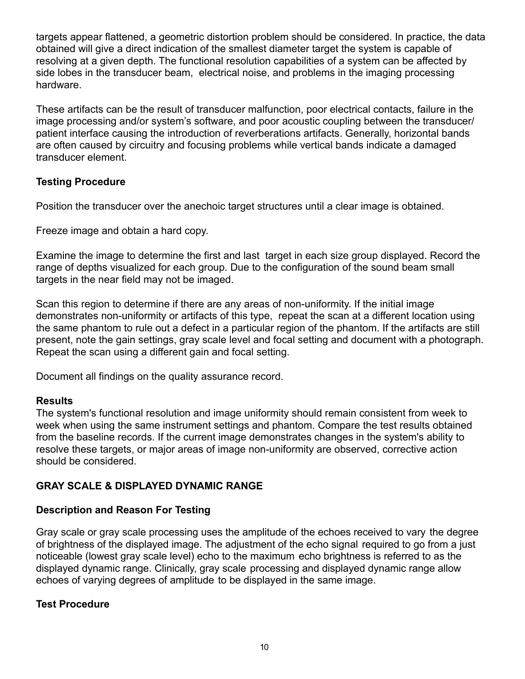targets appear flattened, a geometric distortion problem should be considered. In practice, the data obtained will give a direct indication of the smallest diameter target the system is capable of resolving at a given depth. The functional resolution capabilities of a system can be affected by side lobes in the transducer beam, electrical noise, and problems in the imaging processing hardware.

These artifacts can be the result of transducer malfunction, poor electrical contacts, failure in the image processing and/or system's software, and poor acoustic coupling between the transducer/ patient interface causing the introduction of reverberations artifacts. Generally, horizontal bands are often caused by circuitry and focusing problems while vertical bands indicate a damaged transducer element.

## **Testing Procedure**

Position the transducer over the anechoic target structures until a clear image is obtained.

Freeze image and obtain a hard copy.

Examine the image to determine the first and last target in each size group displayed. Record the range of depths visualized for each group. Due to the configuration of the sound beam small targets in the near field may not be imaged.

Scan this region to determine if there are any areas of non-uniformity. If the initial image demonstrates non-uniformity or artifacts of this type, repeat the scan at a different location using the same phantom to rule out a defect in a particular region of the phantom. If the artifacts are still present, note the gain settings, gray scale level and focal setting and document with a photograph. Repeat the scan using a different gain and focal setting.

Document all findings on the quality assurance record.

# **Results**

The system's functional resolution and image uniformity should remain consistent from week to week when using the same instrument settings and phantom. Compare the test results obtained from the baseline records. If the current image demonstrates changes in the system's ability to resolve these targets, or major areas of image non-uniformity are observed, corrective action should be considered.

# **GRAY SCALE & DISPLAYED DYNAMIC RANGE**

# **Description and Reason For Testing**

Gray scale or gray scale processing uses the amplitude of the echoes received to vary the degree of brightness of the displayed image. The adjustment of the echo signal required to go from a just noticeable (lowest gray scale level) echo to the maximum echo brightness is referred to as the displayed dynamic range. Clinically, gray scale processing and displayed dynamic range allow echoes of varying degrees of amplitude to be displayed in the same image.

# **Test Procedure**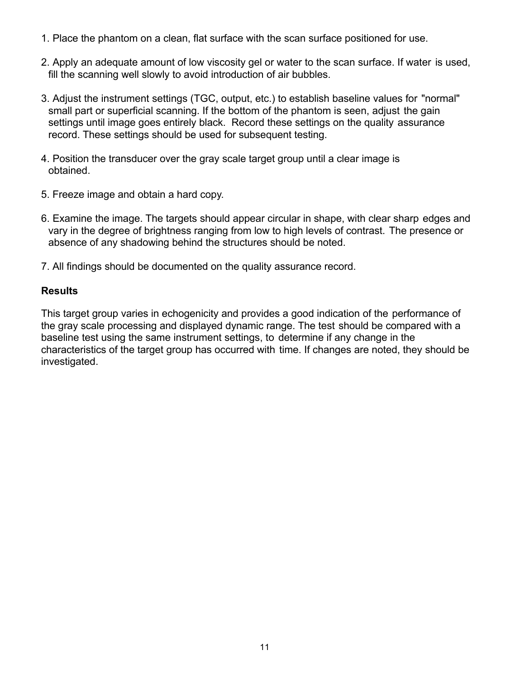- 1. Place the phantom on a clean, flat surface with the scan surface positioned for use.
- 2. Apply an adequate amount of low viscosity gel or water to the scan surface. If water is used, fill the scanning well slowly to avoid introduction of air bubbles.
- 3. Adjust the instrument settings (TGC, output, etc.) to establish baseline values for "normal" small part or superficial scanning. If the bottom of the phantom is seen, adjust the gain settings until image goes entirely black. Record these settings on the quality assurance record. These settings should be used for subsequent testing.
- 4. Position the transducer over the gray scale target group until a clear image is obtained.
- 5. Freeze image and obtain a hard copy.
- 6. Examine the image. The targets should appear circular in shape, with clear sharp edges and vary in the degree of brightness ranging from low to high levels of contrast. The presence or absence of any shadowing behind the structures should be noted.
- 7. All findings should be documented on the quality assurance record.

#### **Results**

This target group varies in echogenicity and provides a good indication of the performance of the gray scale processing and displayed dynamic range. The test should be compared with a baseline test using the same instrument settings, to determine if any change in the characteristics of the target group has occurred with time. If changes are noted, they should be investigated.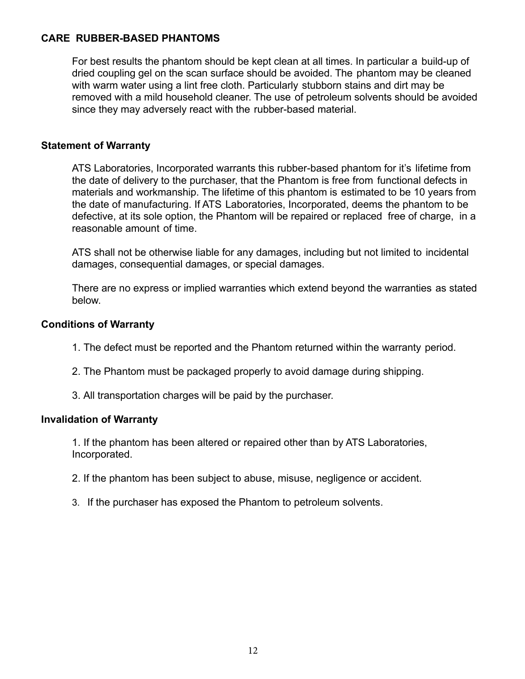#### **CARE RUBBER-BASED PHANTOMS**

For best results the phantom should be kept clean at all times. In particular a build-up of dried coupling gel on the scan surface should be avoided. The phantom may be cleaned with warm water using a lint free cloth. Particularly stubborn stains and dirt may be removed with a mild household cleaner. The use of petroleum solvents should be avoided since they may adversely react with the rubber-based material.

#### **Statement of Warranty**

ATS Laboratories, Incorporated warrants this rubber-based phantom for it's lifetime from the date of delivery to the purchaser, that the Phantom is free from functional defects in materials and workmanship. The lifetime of this phantom is estimated to be 10 years from the date of manufacturing. If ATS Laboratories, Incorporated, deems the phantom to be defective, at its sole option, the Phantom will be repaired or replaced free of charge, in a reasonable amount of time.

ATS shall not be otherwise liable for any damages, including but not limited to incidental damages, consequential damages, or special damages.

There are no express or implied warranties which extend beyond the warranties as stated below.

#### **Conditions of Warranty**

- 1. The defect must be reported and the Phantom returned within the warranty period.
- 2. The Phantom must be packaged properly to avoid damage during shipping.
- 3. All transportation charges will be paid by the purchaser.

#### **Invalidation of Warranty**

1. If the phantom has been altered or repaired other than by ATS Laboratories, Incorporated.

- 2. If the phantom has been subject to abuse, misuse, negligence or accident.
- 3. If the purchaser has exposed the Phantom to petroleum solvents.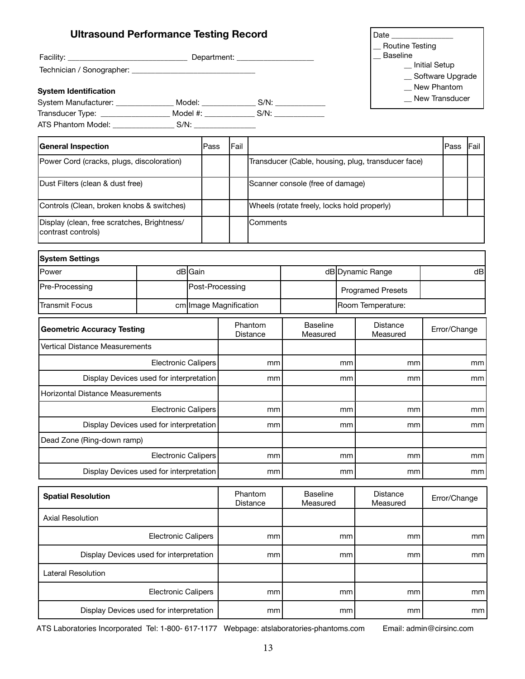| <b>Ultrasound Performance Testing Record</b>                                      |                                   |                 |                     |                        |    |                                             |          | Date and the set of the set of the set of the set of the set of the set of the set of the set of the set of th |                 |                    |      |
|-----------------------------------------------------------------------------------|-----------------------------------|-----------------|---------------------|------------------------|----|---------------------------------------------|----------|----------------------------------------------------------------------------------------------------------------|-----------------|--------------------|------|
|                                                                                   |                                   |                 |                     |                        |    |                                             |          | Routine Testing<br><b>Baseline</b>                                                                             |                 |                    |      |
|                                                                                   |                                   |                 |                     |                        |    |                                             |          |                                                                                                                | _ Initial Setup |                    |      |
|                                                                                   |                                   |                 |                     |                        |    |                                             |          |                                                                                                                |                 | _ Software Upgrade |      |
| <b>System Identification</b>                                                      |                                   |                 |                     |                        |    |                                             |          |                                                                                                                |                 | New Phantom        |      |
| System Manufacturer: ________________ Model: _______________ S/N: ______________  |                                   |                 |                     |                        |    |                                             |          |                                                                                                                |                 | New Transducer     |      |
| Transducer Type: _____________________ Model #: _______________ S/N: ____________ |                                   |                 |                     |                        |    |                                             |          |                                                                                                                |                 |                    |      |
|                                                                                   |                                   |                 |                     |                        |    |                                             |          |                                                                                                                |                 |                    |      |
| <b>General Inspection</b>                                                         |                                   | <b>Pass</b>     |                     | <b>IFail</b>           |    |                                             |          |                                                                                                                |                 | Pass               | Fail |
| Power Cord (cracks, plugs, discoloration)                                         |                                   |                 |                     |                        |    |                                             |          | Transducer (Cable, housing, plug, transducer face)                                                             |                 |                    |      |
| Dust Filters (clean & dust free)                                                  |                                   |                 |                     |                        |    | Scanner console (free of damage)            |          |                                                                                                                |                 |                    |      |
| Controls (Clean, broken knobs & switches)                                         |                                   |                 |                     |                        |    | Wheels (rotate freely, locks hold properly) |          |                                                                                                                |                 |                    |      |
| Display (clean, free scratches, Brightness/<br>contrast controls)                 |                                   |                 |                     | Comments               |    |                                             |          |                                                                                                                |                 |                    |      |
| <b>System Settings</b>                                                            |                                   |                 |                     |                        |    |                                             |          |                                                                                                                |                 |                    |      |
| Power                                                                             |                                   | dB Gain         |                     |                        |    |                                             |          | dB Dynamic Range                                                                                               |                 |                    | dB   |
| Pre-Processing                                                                    |                                   | Post-Processing |                     |                        |    |                                             |          | <b>Programed Presets</b>                                                                                       |                 |                    |      |
| <b>Transmit Focus</b>                                                             |                                   |                 |                     | cm Image Magnification |    |                                             |          | Room Temperature:                                                                                              |                 |                    |      |
|                                                                                   | <b>Geometric Accuracy Testing</b> |                 | Phantom<br>Distance |                        |    | <b>Baseline</b><br>Measured                 |          | <b>Distance</b><br>Measured                                                                                    |                 | Error/Change       |      |
| Vertical Distance Measurements                                                    |                                   |                 |                     |                        |    |                                             |          |                                                                                                                |                 |                    |      |
|                                                                                   | Electronic Calipers               |                 |                     | mm                     |    | mm                                          | mm       |                                                                                                                |                 | mm                 |      |
| Display Devices used for interpretation                                           |                                   |                 |                     | mm<br>mm               |    |                                             | mm       | mm                                                                                                             |                 |                    |      |
| Horizontal Distance Measurements                                                  |                                   |                 |                     |                        |    |                                             |          |                                                                                                                |                 |                    |      |
|                                                                                   | Electronic Calipers               |                 |                     | mm                     |    |                                             | mm       | mm                                                                                                             |                 |                    | mm   |
| Display Devices used for interpretation                                           |                                   |                 |                     | mm                     |    |                                             | mm       | mm                                                                                                             |                 |                    | mm   |
| Dead Zone (Ring-down ramp)                                                        |                                   |                 |                     |                        |    |                                             |          |                                                                                                                |                 |                    |      |
| <b>Electronic Calipers</b>                                                        |                                   |                 |                     | mm                     |    |                                             | mm       | mm                                                                                                             |                 |                    | mm   |
| Display Devices used for interpretation                                           |                                   |                 |                     | mm                     |    |                                             | mm<br>mm |                                                                                                                | mm              |                    |      |
| <b>Spatial Resolution</b>                                                         |                                   |                 | Phantom<br>Distance |                        |    | <b>Baseline</b><br>Measured                 |          | <b>Distance</b><br>Measured                                                                                    |                 | Error/Change       |      |
| <b>Axial Resolution</b>                                                           |                                   |                 |                     |                        |    |                                             |          |                                                                                                                |                 |                    |      |
|                                                                                   | <b>Electronic Calipers</b>        |                 |                     |                        | mm |                                             | mm       | mm                                                                                                             |                 |                    | mm   |

Electronic Calipers mm mm mm mm Display Devices used for interpretation mm mm mm mm

Lateral Resolution

ATS Laboratories Incorporated Tel: 1-800- 617-1177 Webpage: atslaboratories-phantoms.com Email: admin@cirsinc.com

Display Devices used for interpretation mm mm mm mm